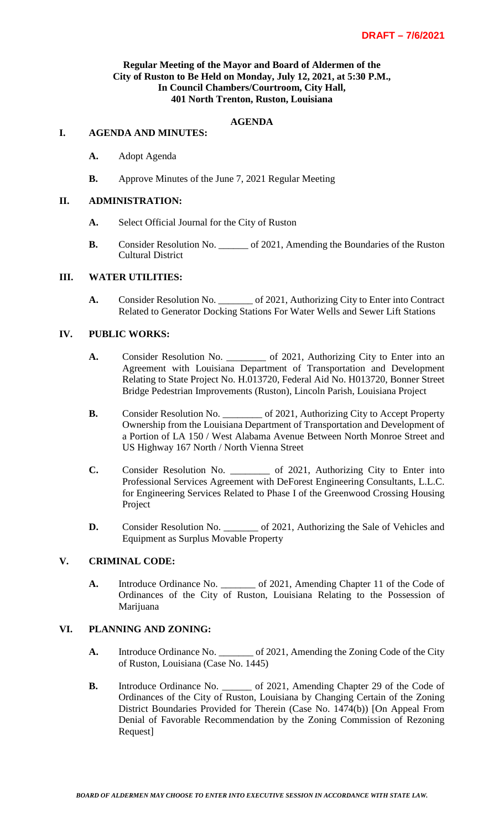### **Regular Meeting of the Mayor and Board of Aldermen of the City of Ruston to Be Held on Monday, July 12, 2021, at 5:30 P.M., In Council Chambers/Courtroom, City Hall, 401 North Trenton, Ruston, Louisiana**

## **AGENDA**

#### **I. AGENDA AND MINUTES:**

- **A.** Adopt Agenda
- **B.** Approve Minutes of the June 7, 2021 Regular Meeting

#### **II. ADMINISTRATION:**

- **A.** Select Official Journal for the City of Ruston
- **B.** Consider Resolution No. \_\_\_\_\_\_ of 2021, Amending the Boundaries of the Ruston Cultural District

### **III. WATER UTILITIES:**

**A.** Consider Resolution No. \_\_\_\_\_\_\_ of 2021, Authorizing City to Enter into Contract Related to Generator Docking Stations For Water Wells and Sewer Lift Stations

#### **IV. PUBLIC WORKS:**

- A. Consider Resolution No. \_\_\_\_\_\_\_\_\_ of 2021, Authorizing City to Enter into an Agreement with Louisiana Department of Transportation and Development Relating to State Project No. H.013720, Federal Aid No. H013720, Bonner Street Bridge Pedestrian Improvements (Ruston), Lincoln Parish, Louisiana Project
- **B.** Consider Resolution No. \_\_\_\_\_\_\_\_ of 2021, Authorizing City to Accept Property Ownership from the Louisiana Department of Transportation and Development of a Portion of LA 150 / West Alabama Avenue Between North Monroe Street and US Highway 167 North / North Vienna Street
- **C.** Consider Resolution No. \_\_\_\_\_\_\_\_ of 2021, Authorizing City to Enter into Professional Services Agreement with DeForest Engineering Consultants, L.L.C. for Engineering Services Related to Phase I of the Greenwood Crossing Housing Project
- **D.** Consider Resolution No. \_\_\_\_\_\_\_ of 2021, Authorizing the Sale of Vehicles and Equipment as Surplus Movable Property

## **V. CRIMINAL CODE:**

**A.** Introduce Ordinance No. \_\_\_\_\_\_\_ of 2021, Amending Chapter 11 of the Code of Ordinances of the City of Ruston, Louisiana Relating to the Possession of Marijuana

### **VI. PLANNING AND ZONING:**

- **A.** Introduce Ordinance No. \_\_\_\_\_\_\_ of 2021, Amending the Zoning Code of the City of Ruston, Louisiana (Case No. 1445)
- **B.** Introduce Ordinance No. \_\_\_\_\_\_\_ of 2021, Amending Chapter 29 of the Code of Ordinances of the City of Ruston, Louisiana by Changing Certain of the Zoning District Boundaries Provided for Therein (Case No. 1474(b)) [On Appeal From Denial of Favorable Recommendation by the Zoning Commission of Rezoning Request]